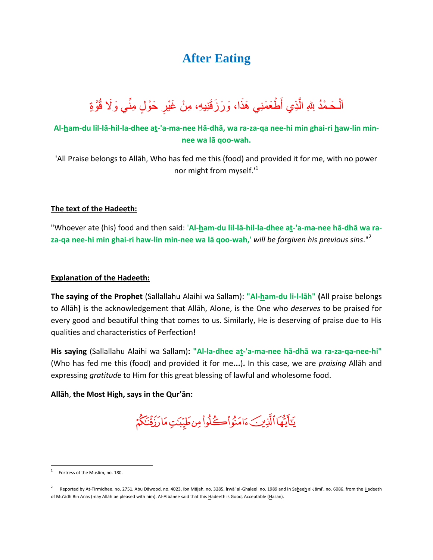# **After Eating**

#### ٱلْـحَـمْدُ لِلهِ الَّذِي أَطْـعَمَنِي هَذَا، وَرَزَقَنِيهِ، مِنْ غَيْرِ حَوْلٍ مِنِّي وَلَا قُوَّةٍ Ĵ ِّ ل

## **Al-ham-du lil-lā-hil-la-dhee at-'a-ma-nee Hā-dhā, wa ra-za-qa nee-hi min ghai-ri haw-lin minnee wa lā qoo-wah.**

'All Praise belongs to Allāh, Who has fed me this (food) and provided it for me, with no power nor might from myself.<sup>1</sup>

#### **The text of the Hadeeth:**

"Whoever ate (his) food and then said: '**Al-ham-du lil-lā-hil-la-dhee at-'a-ma-nee hā-dhā wa raza-qa nee-hi min ghai-ri haw-lin min-nee wa lā qoo-wah,**' *will be forgiven his previous sins*."<sup>2</sup>

#### **Explanation of the Hadeeth:**

**The saying of the Prophet** (Sallallahu Alaihi wa Sallam): **"Al-ham-du li-l-lāh" (**All praise belongs to Allāh**)** is the acknowledgement that Allāh, Alone, is the One who *deserves* to be praised for every good and beautiful thing that comes to us. Similarly, He is deserving of praise due to His qualities and characteristics of Perfection!

**His saying** (Sallallahu Alaihi wa Sallam)**: "Al-la-dhee at-**'**a-ma-nee hā-dhā wa ra-za-qa-nee-hi"**  (Who has fed me this (food) and provided it for me**...**)**.** In this case, we are *praising* Allāh and expressing *gratitude* to Him for this great blessing of lawful and wholesome food.

### **Allāh**, **the Most High, says in the Qur'ān:**

يَتَأَيُّهَا ٱلَّذِينَ ءَامَنُواْڪُلُواْ مِن طَيِّبَدَتِ مَارَزَقَنَكُمْ

 $\overline{a}$ 

<sup>1</sup> Fortress of the Muslim, no. 180.

<sup>2</sup> Reported by At-Tirmidhee, no. 2751, Abu Dāwood, no. 4023, Ibn Mājah, no. 3285, Irwā' al-Ghaleel no. 1989 and in Saheeh al-Jāmi', no. 6086, from the Hadeeth of Mu'ādh Bin Anas (may Allāh be pleased with him). Al-Albānee said that this Hadeeth is Good, Acceptable (Hasan).